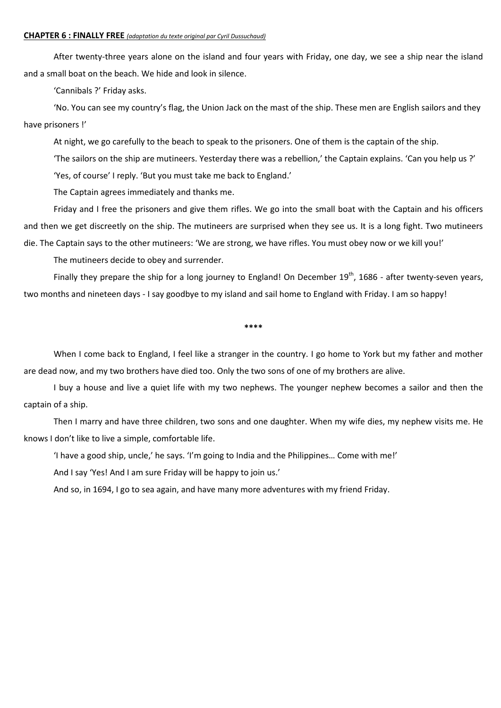### **CHAPTER 6 : FINALLY FREE** *(adaptation du texte original par Cyril Dussuchaud)*

After twenty-three years alone on the island and four years with Friday, one day, we see a ship near the island and a small boat on the beach. We hide and look in silence.

'Cannibals ?' Friday asks.

'No. You can see my country's flag, the Union Jack on the mast of the ship. These men are English sailors and they have prisoners !'

At night, we go carefully to the beach to speak to the prisoners. One of them is the captain of the ship.

'The sailors on the ship are mutineers. Yesterday there was a rebellion,' the Captain explains. 'Can you help us ?'

'Yes, of course' I reply. 'But you must take me back to England.'

The Captain agrees immediately and thanks me.

Friday and I free the prisoners and give them rifles. We go into the small boat with the Captain and his officers and then we get discreetly on the ship. The mutineers are surprised when they see us. It is a long fight. Two mutineers die. The Captain says to the other mutineers: 'We are strong, we have rifles. You must obey now or we kill you!'

The mutineers decide to obey and surrender.

Finally they prepare the ship for a long journey to England! On December 19<sup>th</sup>, 1686 - after twenty-seven years, two months and nineteen days - I say goodbye to my island and sail home to England with Friday. I am so happy!

**\*\*\*\***

When I come back to England, I feel like a stranger in the country. I go home to York but my father and mother are dead now, and my two brothers have died too. Only the two sons of one of my brothers are alive.

I buy a house and live a quiet life with my two nephews. The younger nephew becomes a sailor and then the captain of a ship.

Then I marry and have three children, two sons and one daughter. When my wife dies, my nephew visits me. He knows I don't like to live a simple, comfortable life.

'I have a good ship, uncle,' he says. 'I'm going to India and the Philippines… Come with me!'

And I say 'Yes! And I am sure Friday will be happy to join us.'

And so, in 1694, I go to sea again, and have many more adventures with my friend Friday.